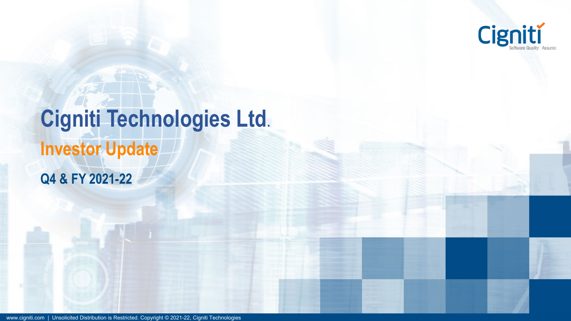

# **Cigniti Technologies Ltd**. **Investor Update Q4 & FY 2021-22**

www.cigniti.com | Unsolicited Distribution is Restricted. Copyright © 2021-22, Cigniti Technologies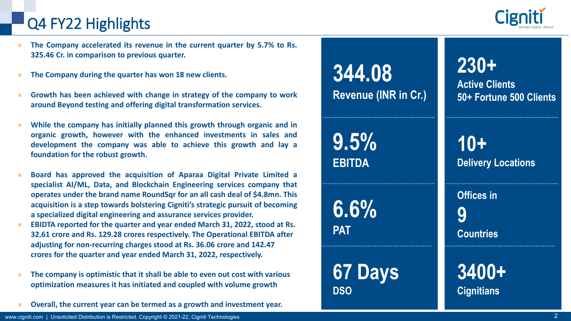### Q4 FY22 Highlights

- » **The Company accelerated its revenue in the current quarter by 5.7% to Rs. 325.46 Cr. in comparison to previous quarter.**
- » **The Company during the quarter has won 18 new clients.**
- » **Growth has been achieved with change in strategy of the company to work around Beyond testing and offering digital transformation services.**
- » **While the company has initially planned this growth through organic and in organic growth, however with the enhanced investments in sales and development the company was able to achieve this growth and lay a foundation for the robust growth.**
- » **Board has approved the acquisition of Aparaa Digital Private Limited a specialist AI/ML, Data, and Blockchain Engineering services company that operates under the brand name RoundSqr for an all cash deal of \$4.8mn. This acquisition is a step towards bolstering Cigniti's strategic pursuit of becoming a specialized digital engineering and assurance services provider.**
- » **EBIDTA reported for the quarter and year ended March 31, 2022, stood at Rs. 32.61 crore and Rs. 129.28 crores respectively. The Operational EBITDA after adjusting for non-recurring charges stood at Rs. 36.06 crore and 142.47 crores for the quarter and year ended March 31, 2022, respectively.**
- » **The company is optimistic that it shall be able to even out cost with various optimization measures it has initiated and coupled with volume growth**
- » **Overall, the current year can be termed as a growth and investment year.**



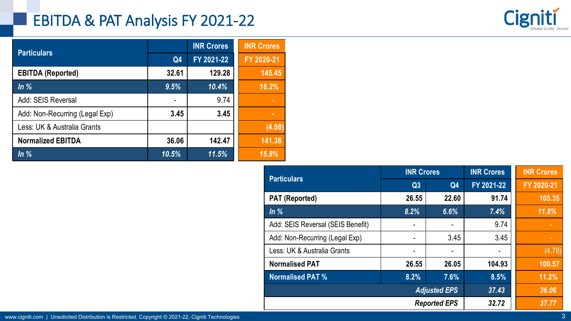### EBITDA & PAT Analysis FY 2021-22



| <b>Particulars</b>             |                | <b>INR Crores</b> | <b>INR Crores</b> |
|--------------------------------|----------------|-------------------|-------------------|
|                                | Q <sub>4</sub> | FY 2021-22        | FY 2020-21        |
| <b>EBITDA (Reported)</b>       | 32.61          | 129.28            | 145.45            |
| In%                            | 9.5%           | 10.4%             | 16.2%             |
| Add: SEIS Reversal             |                | 9.74              |                   |
| Add: Non-Recurring (Legal Exp) | 3.45           | 3.45              | ш                 |
| Less: UK & Australia Grants    |                |                   | (4.08)            |
| <b>Normalized EBITDA</b>       | 36.06          | 142.47            | 141.38            |
| In%                            | 10.5%          | 11.5%             | 15.8%             |

| <b>Particulars</b>                | <b>INR Crores</b> |                     | <b>INR Crores</b> | <b>INR Crores</b> |  |
|-----------------------------------|-------------------|---------------------|-------------------|-------------------|--|
|                                   | Q3                | Q4                  | FY 2021-22        | FY 2020-21        |  |
| <b>PAT (Reported)</b>             | 26.55             | 22.60               | 91.74             | 105.35            |  |
| $\ln \%$                          | 8.2%              | 6.6%                | 7.4%              | 11.8%             |  |
| Add: SEIS Reversal (SEIS Benefit) |                   | -                   | 9.74              |                   |  |
| Add: Non-Recurring (Legal Exp)    |                   | 3.45                | 3.45              |                   |  |
| Less: UK & Australia Grants       |                   | -                   |                   | (4.78)            |  |
| <b>Normalised PAT</b>             | 26.55             | 26.05               | 104.93            | 100.57            |  |
| <b>Normalised PAT %</b>           | 8.2%              | 7.6%                | 8.5%              | 11.2%             |  |
|                                   |                   | <b>Adjusted EPS</b> | 37.43             | 36.06             |  |
|                                   |                   | <b>Reported EPS</b> | 32.72             | 37.77             |  |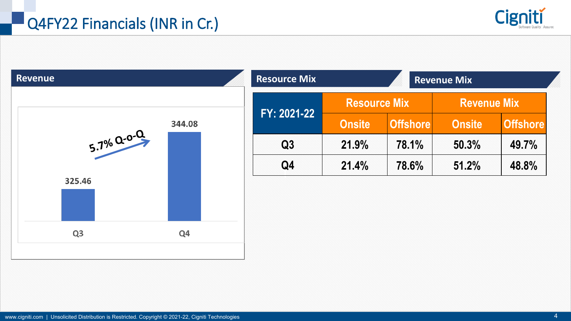

| <b>Revenue</b>   |        | <b>Resource Mix</b> |                     |                 | <b>Revenue Mix</b> |                 |
|------------------|--------|---------------------|---------------------|-----------------|--------------------|-----------------|
|                  |        |                     | <b>Resource Mix</b> |                 | <b>Revenue Mix</b> |                 |
|                  | 344.08 | FY: 2021-22         | <b>Onsite</b>       | <b>Offshore</b> | <b>Onsite</b>      | <b>Offshore</b> |
| $5.7\%$ $Q-0$ -0 |        | Q3                  | 21.9%               | 78.1%           | 50.3%              | 49.7%           |
|                  |        | Q4                  | 21.4%               | 78.6%           | 51.2%              | 48.8%           |
| 325.46           |        |                     |                     |                 |                    |                 |
|                  |        |                     |                     |                 |                    |                 |
|                  |        |                     |                     |                 |                    |                 |
|                  |        |                     |                     |                 |                    |                 |
| Q <sub>3</sub>   | Q4     |                     |                     |                 |                    |                 |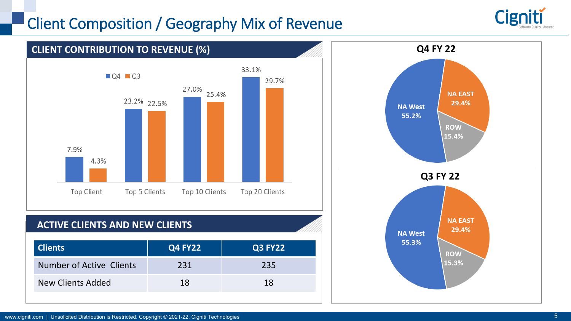### Client Composition / Geography Mix of Revenue



29.4%

**ROW** 15.3%

**NA West** 55.3%



### **ACTIVE CLIENTS AND NEW CLIENTS**

| <b>Clients</b>           | <b>Q4 FY22</b> | <b>Q3 FY22</b> |
|--------------------------|----------------|----------------|
| Number of Active Clients | 231            | 235            |
| New Clients Added        | 18             | 18             |
|                          |                |                |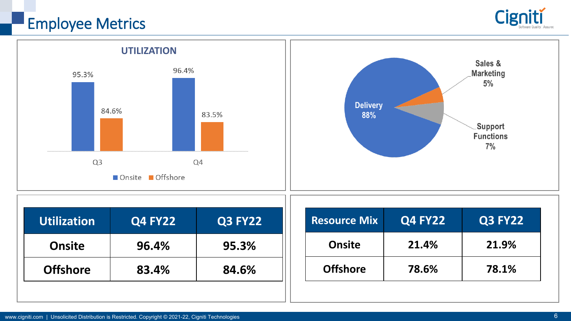## Employee Metrics





| Utilization     | <b>Q4 FY22</b> | <b>Q3 FY22</b> |
|-----------------|----------------|----------------|
| <b>Onsite</b>   | 96.4%          | 95.3%          |
| <b>Offshore</b> | 83.4%          | 84.6%          |

| <b>Resource Mix</b> | <b>Q4 FY22</b> | <b>Q3 FY22</b> |
|---------------------|----------------|----------------|
| <b>Onsite</b>       | 21.4%          | 21.9%          |
| <b>Offshore</b>     | 78.6%          | 78.1%          |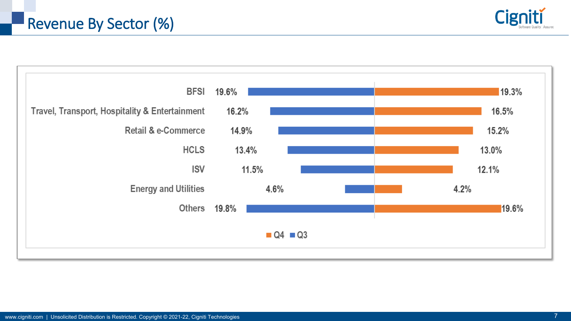

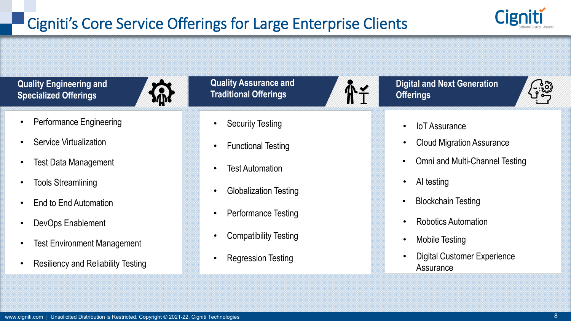

**Quality Engineering and Specialized Offerings**



- Performance Engineering
- **Service Virtualization**
- Test Data Management
- Tools Streamlining
- End to End Automation
- DevOps Enablement
- **Test Environment Management**
- Resiliency and Reliability Testing

**Quality Assurance and Traditional Offerings**

- **Security Testing**
- Functional Testing
- **Test Automation**
- Globalization Testing
- Performance Testing
- Compatibility Testing
- Regression Testing

**Digital and Next Generation Offerings**



• IoT Assurance

**A¥** 

- Cloud Migration Assurance
- Omni and Multi-Channel Testing
- AI testing
- Blockchain Testing
- Robotics Automation
- Mobile Testing
- Digital Customer Experience **Assurance**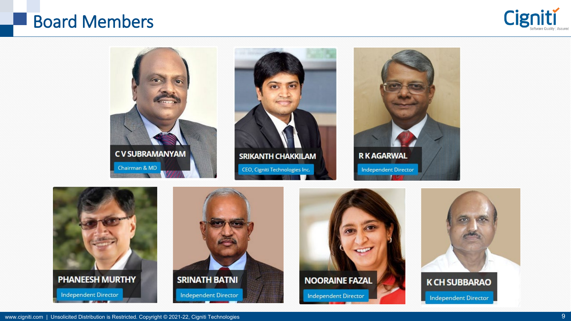### Board Members





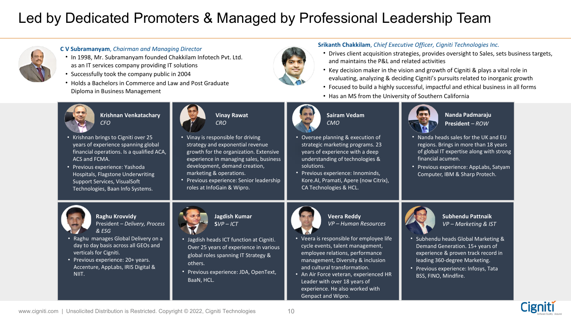### Led by Dedicated Promoters & Managed by Professional Leadership Team



#### **C V Subramanyam**, *Chairman and Managing Director*

- In 1998, Mr. Subramanyam founded Chakkilam Infotech Pvt. Ltd. as an IT services company providing IT solutions
- Successfully took the company public in 2004
- Holds a Bachelors in Commerce and Law and Post Graduate Diploma in Business Management



- Drives client acquisition strategies, provides oversight to Sales, sets business targets, and maintains the P&L and related activities
- Key decision maker in the vision and growth of Cigniti & plays a vital role in evaluating, analyzing & deciding Cigniti's pursuits related to inorganic growth
- Focused to build a highly successful, impactful and ethical business in all forms
- Has an MS from the University of Southern California



**Krishnan Venkatachary** *CFO*

- Krishnan brings to Cigniti over 25 years of experience spanning global financial operations. Is a qualified ACA, ACS and FCMA.
- Previous experience: Yashoda Hospitals, Flagstone Underwriting Support Services, VisualSoft Technologies, Baan Info Systems.



- Vinay is responsible for driving strategy and exponential revenue growth for the organization. Extensive experience in managing sales, business development, demand creation, marketing & operations.
- Previous experience: Senior leadership roles at InfoGain & Wipro.



### **Sairam Vedam** *CMO*

- Oversee planning & execution of strategic marketing programs. 23 years of experience with a deep understanding of technologies & solutions.
- Previous experience: Innominds, Kore.AI, Pramati, Apere (now Citrix), CA Technologies & HCL.



#### **Nanda Padmaraju President** *– ROW*

- Nanda heads sales for the UK and EU regions. Brings in more than 18 years of global IT expertise along with strong financial acumen.
- Previous experience: AppLabs, Satyam Computer, IBM & Sharp Protech.



**Raghu Krovvidy** President *– Delivery, Process & ESG*

- Raghu manages Global Delivery on a day to day basis across all GEOs and verticals for Cigniti.
- Previous experience: 20+ years. Accenture, AppLabs, IRIS Digital & NIIT.



**Jagdish Kumar**  $SVP - ICT$ 

- Jagdish heads ICT function at Cigniti. Over 25 years of experience in various global roles spanning IT Strategy & others.
- Previous experience: JDA, OpenText, BaaN, HCL.



**Veera Reddy** *VP – Human Resources*

- Veera is responsible for employee life cycle events, talent management, employee relations, performance management, Diversity & inclusion and cultural transformation.
- An Air Force veteran, experienced HR Leader with over 18 years of experience. He also worked with Genpact and Wipro.



**Subhendu Pattnaik** *VP – Marketing & IST*

- Subhendu heads Global Marketing & Demand Generation. 15+ years of experience & proven track record in leading 360-degree Marketing.
- Previous experience: Infosys, Tata BSS, FINO, Mindfire.

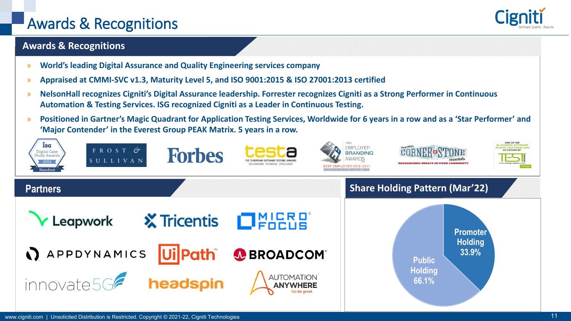### Awards & Recognitions

### **Awards & Recognitions**

- » **World's leading Digital Assurance and Quality Engineering services company**
- » **Appraised at CMMI-SVC v1.3, Maturity Level 5, and ISO 9001:2015 & ISO 27001:2013 certified**
- » **NelsonHall recognizes Cigniti's Digital Assurance leadership. Forrester recognizes Cigniti as a Strong Performer in Continuous Automation & Testing Services. ISG recognized Cigniti as a Leader in Continuous Testing.**
- » **Positioned in Gartner's Magic Quadrant for Application Testing Services, Worldwide for 6 years in a row and as a 'Star Performer' and 'Major Contender' in the Everest Group PEAK Matrix. 5 years in a row.**

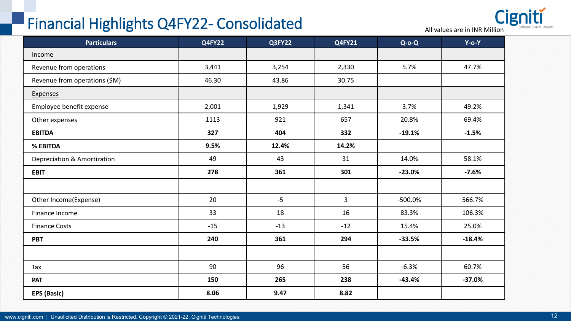### Financial Highlights Q4FY22- Consolidated



| <b>Particulars</b>            | <b>Q4FY22</b> | Q3FY22 | <b>Q4FY21</b>  | $Q-O-Q$    | $Y$ -o- $Y$ |
|-------------------------------|---------------|--------|----------------|------------|-------------|
| Income                        |               |        |                |            |             |
| Revenue from operations       | 3,441         | 3,254  | 2,330          | 5.7%       | 47.7%       |
| Revenue from operations (\$M) | 46.30         | 43.86  | 30.75          |            |             |
| <b>Expenses</b>               |               |        |                |            |             |
| Employee benefit expense      | 2,001         | 1,929  | 1,341          | 3.7%       | 49.2%       |
| Other expenses                | 1113          | 921    | 657            | 20.8%      | 69.4%       |
| <b>EBITDA</b>                 | 327           | 404    | 332            | $-19.1%$   | $-1.5%$     |
| % EBITDA                      | 9.5%          | 12.4%  | 14.2%          |            |             |
| Depreciation & Amortization   | 49            | 43     | 31             | 14.0%      | 58.1%       |
| <b>EBIT</b>                   | 278           | 361    | 301            | $-23.0%$   | $-7.6%$     |
|                               |               |        |                |            |             |
| Other Income(Expense)         | 20            | $-5$   | 3 <sup>1</sup> | $-500.0\%$ | 566.7%      |
| Finance Income                | 33            | 18     | 16             | 83.3%      | 106.3%      |
| <b>Finance Costs</b>          | $-15$         | $-13$  | $-12$          | 15.4%      | 25.0%       |
| <b>PBT</b>                    | 240           | 361    | 294            | $-33.5%$   | $-18.4%$    |
|                               |               |        |                |            |             |
| Tax                           | 90            | 96     | 56             | $-6.3%$    | 60.7%       |
| <b>PAT</b>                    | 150           | 265    | 238            | $-43.4%$   | $-37.0%$    |
| EPS (Basic)                   | 8.06          | 9.47   | 8.82           |            |             |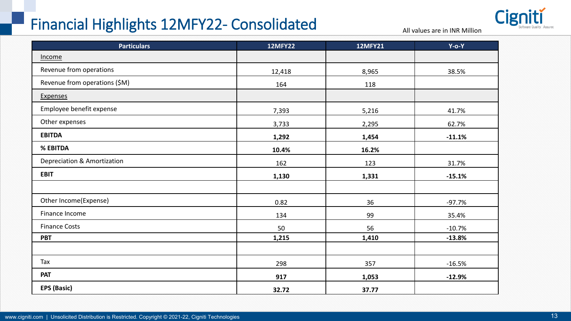### Financial Highlights 12MFY22- Consolidated



All values are in INR Million

| <b>Particulars</b>            | <b>12MFY22</b> | <b>12MFY21</b> | $Y$ -0- $Y$ |
|-------------------------------|----------------|----------------|-------------|
| Income                        |                |                |             |
| Revenue from operations       | 12,418         | 8,965          | 38.5%       |
| Revenue from operations (\$M) | 164            | 118            |             |
| <b>Expenses</b>               |                |                |             |
| Employee benefit expense      | 7,393          | 5,216          | 41.7%       |
| Other expenses                | 3,733          | 2,295          | 62.7%       |
| <b>EBITDA</b>                 | 1,292          | 1,454          | $-11.1%$    |
| % EBITDA                      | 10.4%          | 16.2%          |             |
| Depreciation & Amortization   | 162            | 123            | 31.7%       |
| <b>EBIT</b>                   | 1,130          | 1,331          | $-15.1%$    |
|                               |                |                |             |
| Other Income(Expense)         | 0.82           | 36             | $-97.7%$    |
| Finance Income                | 134            | 99             | 35.4%       |
| <b>Finance Costs</b>          | 50             | 56             | $-10.7%$    |
| <b>PBT</b>                    | 1,215          | 1,410          | $-13.8%$    |
|                               |                |                |             |
| Tax                           | 298            | 357            | $-16.5%$    |
| <b>PAT</b>                    | 917            | 1,053          | $-12.9%$    |
| <b>EPS (Basic)</b>            | 32.72          | 37.77          |             |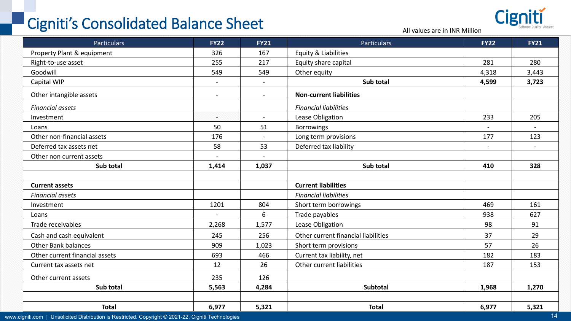## Cigniti's Consolidated Balance Sheet All values are in INR Million

Cigniti

| <b>Particulars</b>             | <b>FY22</b>    | <b>FY21</b>    | <b>Particulars</b>                  | <b>FY22</b>              | <b>FY21</b>              |
|--------------------------------|----------------|----------------|-------------------------------------|--------------------------|--------------------------|
| Property Plant & equipment     | 326            | 167            | Equity & Liabilities                |                          |                          |
| Right-to-use asset             | 255            | 217            | Equity share capital                | 281                      | 280                      |
| Goodwill                       | 549            | 549            | Other equity                        | 4,318                    | 3,443                    |
| Capital WIP                    | $\sim$         | $\sim$         | Sub total                           | 4,599                    | 3,723                    |
| Other intangible assets        |                | $\blacksquare$ | <b>Non-current liabilities</b>      |                          |                          |
| <b>Financial assets</b>        |                |                | <b>Financial liabilities</b>        |                          |                          |
| Investment                     | S.             | $\sim$         | Lease Obligation                    | 233                      | 205                      |
| Loans                          | 50             | 51             | <b>Borrowings</b>                   | $\overline{\phantom{a}}$ | $\overline{\phantom{a}}$ |
| Other non-financial assets     | 176            | $\blacksquare$ | Long term provisions                | 177                      | 123                      |
| Deferred tax assets net        | 58             | 53             | Deferred tax liability              | $\overline{\phantom{a}}$ | $\overline{\phantom{a}}$ |
| Other non current assets       | $\blacksquare$ | $\blacksquare$ |                                     |                          |                          |
| Sub total                      | 1,414          | 1,037          | Sub total                           | 410                      | 328                      |
|                                |                |                |                                     |                          |                          |
| <b>Current assets</b>          |                |                | <b>Current liabilities</b>          |                          |                          |
| <b>Financial assets</b>        |                |                | <b>Financial liabilities</b>        |                          |                          |
| Investment                     | 1201           | 804            | Short term borrowings               | 469                      | 161                      |
| Loans                          | $\blacksquare$ | 6              | Trade payables                      | 938                      | 627                      |
| Trade receivables              | 2,268          | 1,577          | Lease Obligation                    | 98                       | 91                       |
| Cash and cash equivalent       | 245            | 256            | Other current financial liabilities | 37                       | 29                       |
| <b>Other Bank balances</b>     | 909            | 1,023          | Short term provisions               | 57                       | 26                       |
| Other current financial assets | 693            | 466            | Current tax liability, net          | 182                      | 183                      |
| Current tax assets net         | 12             | 26             | Other current liabilities           | 187                      | 153                      |
| Other current assets           | 235            | 126            |                                     |                          |                          |
| Sub total                      | 5,563          | 4,284          | <b>Subtotal</b>                     | 1,968                    | 1,270                    |
|                                |                |                |                                     |                          |                          |
| <b>Total</b>                   | 6,977          | 5,321          | <b>Total</b>                        | 6,977                    | 5,321                    |

www.cigniti.com | Unsolicited Distribution is Restricted. Copyright © 2021-22, Cigniti Technologies 14 and 2021-22 and 2021-22 and 2021-22 and 2021-22 and 2021-22 and 2021-22 and 2021-22 and 2021-21 and 2021-21 and 2021-21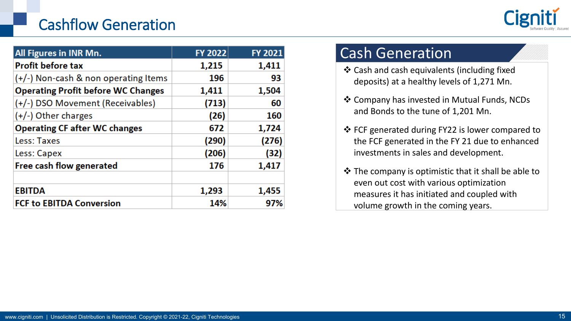### Cashflow Generation



| <b>All Figures in INR Mn.</b>             | <b>FY 2022</b> | FY 2021 |
|-------------------------------------------|----------------|---------|
| <b>Profit before tax</b>                  | 1,215          | 1,411   |
| (+/-) Non-cash & non operating Items      | 196            | 93      |
| <b>Operating Profit before WC Changes</b> | 1,411          | 1,504   |
| (+/-) DSO Movement (Receivables)          | (713)          | 60      |
| $(+/-)$ Other charges                     | (26)           | 160     |
| <b>Operating CF after WC changes</b>      | 672            | 1,724   |
| Less: Taxes                               | (290)          | (276)   |
| Less: Capex                               | (206)          | (32)    |
| Free cash flow generated                  | 176            | 1,417   |
| <b>EBITDA</b>                             | 1,293          | 1,455   |
| <b>FCF to EBITDA Conversion</b>           | 14%            | 97%     |

### Cash Generation

- Cash and cash equivalents (including fixed deposits) at a healthy levels of 1,271 Mn.
- Company has invested in Mutual Funds, NCDs and Bonds to the tune of 1,201 Mn.
- FCF generated during FY22 is lower compared to the FCF generated in the FY 21 due to enhanced investments in sales and development.
- $\cdot$  The company is optimistic that it shall be able to even out cost with various optimization measures it has initiated and coupled with volume growth in the coming years.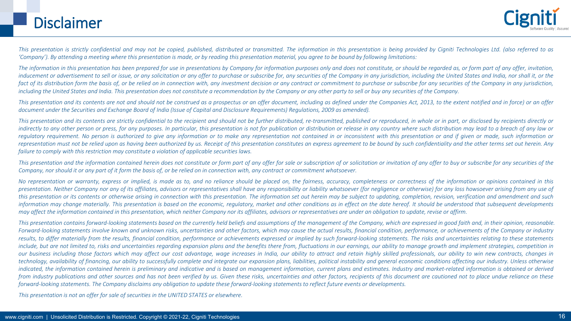### Disclaimer

This presentation is strictly confidential and may not be copied, published, distributed or transmitted. The information in this presentation is being provided by Cigniti Technologies Ltd. (also referred to as 'Company'). By attending a meeting where this presentation is made, or by reading this presentation material, you agree to be bound by following limitations:

The information in this presentation has been prepared for use in presentations by Company for information purposes only and does not constitute, or should be regarded as, or form part of any offer, invitation, inducement or advertisement to sell or issue, or any solicitation or any offer to purchase or subscribe for, any securities of the Company in any jurisdiction, including the United States and India, nor shall it, or the fact of its distribution form the basis of, or be relied on in connection with, any investment decision or any contract or commitment to purchase or subscribe for any securities of the Company in any jurisdiction, including the United States and India. This presentation does not constitute a recommendation by the Company or any other party to sell or buy any securities of the Company.

This presentation and its contents are not and should not be construed as a prospectus or an offer document, including as defined under the Companies Act, 2013, to the extent notified and in force) or an offer document under the Securities and Exchange Board of India (Issue of Capital and Disclosure Requirements) Regulations, 2009 as amended).

This presentation and its contents are strictly confidential to the recipient and should not be further distributed, re-transmitted, published or reproduced, in whole or in part, or disclosed by recipients directly or indirectly to any other person or press, for any purposes. In particular, this presentation is not for publication or distribution or release in any country where such distribution may lead to a breach of any law or requlatory requirement. No person is authorized to give any information or to make any representation not contained in or inconsistent with this presentation or and if given or made, such information or representation must not be relied upon as having been authorized by us. Receipt of this presentation constitutes an express agreement to be bound by such confidentiality and the other terms set out herein. Any *failure to comply with this restriction may constitute a violation of applicable securities laws.*

This presentation and the information contained herein does not constitute or form part of any offer for sale or subscription of or solicitation or invitation of any offer to buy or subscribe for any securities of the Company, nor should it or any part of it form the basis of, or be relied on in connection with, any contract or commitment whatsoever.

No representation or warranty, express or implied, is made as to, and no reliance should be placed on, the fairness, accuracy, completeness or correctness of the information or opinions contained in this presentation. Neither Company nor any of its affiliates, advisors or representatives shall have any responsibility or liability whatsoever (for negligence or otherwise) for any loss howsoever arising from any use of this presentation or its contents or otherwise arising in connection with this presentation. The information set out herein may be subject to updating, completion, revision, verification and amendment and such information may change materially. This presentation is based on the economic, regulatory, market and other conditions as in effect on the date hereof. It should be understood that subsequent developments may affect the information contained in this presentation, which neither Company nor its affiliates, advisors or representatives are under an obligation to update, revise or affirm.

This presentation contains forward-looking statements based on the currently held beliefs and assumptions of the management of the Company, which are expressed in good faith and, in their opinion, reasonable. Forward-looking statements involve known and unknown risks, uncertainties and other factors, which may cause the actual results, financial condition, performance, or achievements of the Company or industry results, to differ materially from the results, financial condition, performance or achievements expressed or implied by such forward-looking statements. The risks and uncertainties relating to these statements include, but are not limited to, risks and uncertainties regarding expansion plans and the benefits there from, fluctuations in our earnings, our ability to manage growth and implement strategies, competition in our business including those factors which may affect our cost advantage, wage increases in India, our ability to attract and retain highly skilled professionals, our ability to win new contracts, changes in technology, availability of financing, our ability to successfully complete and integrate our expansion plans, liabilities, political instability and general economic conditions affecting our industry. Unless otherwise indicated, the information contained herein is preliminary and indicative and is based on management information, current plans and estimates. Industry and market-related information is obtained or derived from industry publications and other sources and has not been verified by us. Given these risks, uncertainties and other factors, recipients of this document are cautioned not to place undue reliance on these forward-looking statements. The Company disclaims any obligation to update these forward-looking statements to reflect future events or developments.

*This presentation is not an offer for sale of securities in the UNITED STATES or elsewhere.*